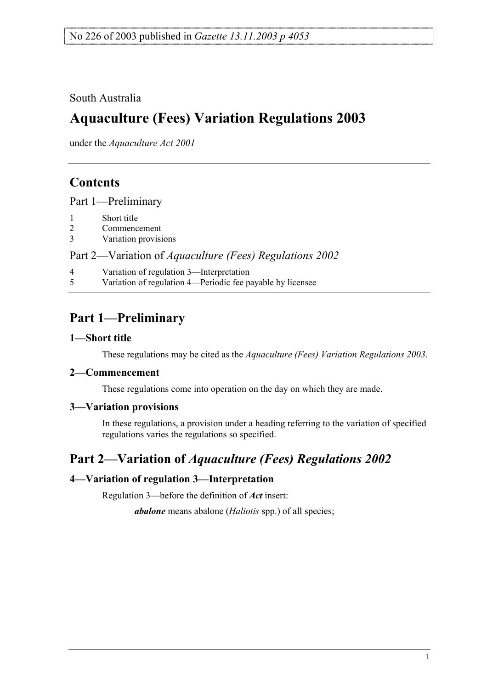### South Australia

# **Aquaculture (Fees) Variation Regulations 2003**

under the *Aquaculture Act 2001*

## **Contents**

Part 1—Preliminary

- 1 Short title
- 2 Commencement
- 3 Variation provisions

Part 2—Variation of *Aquaculture (Fees) Regulations 2002*

- 4 Variation of regulation 3—Interpretation
- 5 Variation of regulation 4—Periodic fee payable by licensee

# **Part 1—Preliminary**

#### **1—Short title**

These regulations may be cited as the *Aquaculture (Fees) Variation Regulations 2003*.

#### **2—Commencement**

These regulations come into operation on the day on which they are made.

#### **3—Variation provisions**

In these regulations, a provision under a heading referring to the variation of specified regulations varies the regulations so specified.

### **Part 2—Variation of** *Aquaculture (Fees) Regulations 2002*

### **4—Variation of regulation 3—Interpretation**

Regulation 3—before the definition of *Act* insert:

*abalone* means abalone (*Haliotis* spp.) of all species;